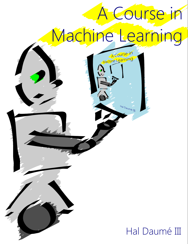# A Course in Machine Learning A course in

## Hal Daumé III

## Hal Daumé III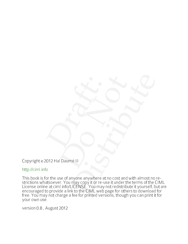Copyright © 2012 Hal Daumé III

<http://ciml.info>

of the use of anyone anywhere at no cost and with almost no re-<br>at comparison of the use of anyone anywhere at no cost and with almost no re-<br>at cimil. In fol LiCENSE. You may not reduce that the terms of the CML<br>a at crim This book is for the use of anyone anywhere at no cost and with almost no restrictions whatsoever. You may copy it or re-use it under the terms of the CIML License online at ciml.info/LICENSE. You may not redistribute it yourself, but are encouraged to provide a link to the CIML web page for others to download for free. You may not charge a fee for printed versions, though you can print it for your own use.

version 0.8 , August 2012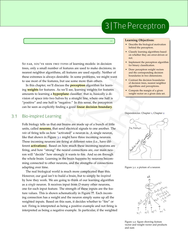## 3|ThePerceptron

--

So far, you've seen two types of learning models: in decision trees, only a small number of features are used to make decisions; in nearest neighbor algorithms, all features are used equally. Neither of these extremes is always desirable. In some problems, we might want to use most of the features, but use some more than others.

In this chapter, we'll discuss the **perceptron** algorithm for learning **weights** for features. As we'll see, learning weights for features amounts to learning a **hyperplane** classifier: that is, basically a division of space into two halves by a straight line, where one half is "positive" and one half is "negative." In this sense, the perceptron can be seen as explicitly finding a good **linear decision boundary**.

#### 3.1 Bio-inspired Learning

always desirable. In some problems, we might want<br>
always desirable. In some problems, we might want<br>
focatures, but use some more than others.<br>
we some more than others.<br>
we some more than others, neares the desirable me Folk biology tells us that our brains are made up of a bunch of little units, called **neurons**, that send electrical signals to one another. The *rate* of firing tells us how "activated" a neuron is. A single neuron, like that shown in Figure 3.1 might have three incoming neurons. These incoming neurons are firing at different rates (i.e., have different **activations**). Based on how much these incoming neurons are firing, and how "strong" the neural connections are, our main neuron will "decide" how strongly it wants to fire. And so on through the whole brain. Learning in the brain happens by neurons becomming connected to other neurons, and the strengths of connections adapting over time.

The real biological world is much more complicated than this. However, our goal isn't to build a brain, but to simply be *inspired* by how they work. We are going to think of our learning algorithm as a *single* neuron. It receives input from *D*-many other neurons, one for each input feature. The strength of these inputs are the feature values. This is shown schematically in Figure **??**. Each incoming connection has a weight and the neuron simply sums up all the weighted inputs. Based on this sum, it decides whether to "fire" or not. Firing is interpreted as being a positive example and not firing is interpreted as being a negative example. In particular, if the weighted

#### **Learning Objectives:**

- Describe the biological motivation behind the perceptron.
- Classify learning algorithms based on whether they are error-driven or not.
- Implement the perceptron algorithm for binary classification.
- Draw perceptron weight vectors and the corresponding decision boundaries in two dimensions.
- Contrast the decision boundaries of decision trees, nearest neighbor algorithms and perceptrons.
- Compute the margin of a given weight vector on a given data set.

Dependencies: Chapter 1, Chapter [2](#page--1-0)



Figure 3.1: a picture of a neuron

<span id="page-2-0"></span>

<span id="page-2-1"></span>Figure 3.2: figure showing feature vector and weight vector and products and sum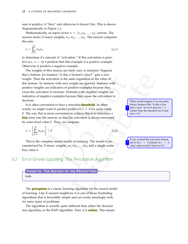sum is positive, it "fires" and otherwise it doesn't fire. This is shown diagramatically in Figure [3](#page-2-1).2.

Mathematically, an input vector  $\mathbf{x} = \langle x_1, x_2, \dots, x_D \rangle$  arrives. The neuron stores *D*-many weights, *w*1, *w*2, . . . , *wD*. The neuron computes the sum:

$$
a = \sum_{d=1}^{D} w_d x_d \tag{3.1}
$$

to determine it's amount of "activation." If this activiation is positive (i.e.,  $a > 0$ ) it predicts that this example is a positive example. Otherwise it predicts a negative example.

instance "is this a System's class?" gets a zero<br>
activation is the same regardless of the value of<br>
activation is the same regardless of the value of<br>
tive camples because they cause the carbitration to<br>
the examples bec The weights of this neuron are fairly easy to interpret. Suppose that a feature, for instance "is this a System's class?" gets a zero weight. Then the activation is the same regardless of the value of this feature. So features with zero weight are ignored. Features with positive weights are indicative of positive examples because they cause the activation to increase. Features with negative weights are indicative of negative examples because they cause the activiation to decrease.

It is often convenient to have a non-zero **threshold**. In other words, we might want to predict positive if  $a > \theta$  for some value *θ*. The way that is most convenient to achieve this is to introduce a **bias** term into the neuron, so that the activation is always increased by some fixed value *b*. Thus, we compute:

$$
a = \left[\sum_{d=1}^{D} w_d x_d\right] + b \tag{3.2}
$$

This is the complete neural model of learning. The model is parameterized by *D*-many weights,  $w_1, w_2, \ldots, w_D$ , and a single scalar bias value *b*.

#### <span id="page-3-0"></span>3.2 Error-Driven Updating: The Perceptron Algorithm

### **VIGNETTE: THE HISTORY OF THE PERCEPTRON**

#### todo

The **perceptron** is a classic learning algorithm for the neural model of learning. Like *K*-nearest neighbors, it is one of those frustrating algorithms that is incredibly simple and yet works amazingly well, for some types of problems.

The algorithm is actually quite different than either the decision tree algorithm or the KNN algorithm. First, it is **online**. This means binary features like "is this a System's class" as no=0 and yes=−1 (rather than the standard no=0 and  $yes=+1$ ?

?

?

If you wanted the activation threshold to be  $a > \theta$  instead of  $a > 0$ , what value would *b* have to be?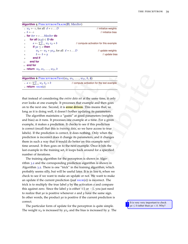| Algorithm $\overline{5}$ PERCEPTRONTRAIN(D, MaxIter)    |                                        |  |
|---------------------------------------------------------|----------------------------------------|--|
| $w_d \leftarrow o$ , for all $d = 1D$                   | // initialize weights                  |  |
| $\phi: b \leftarrow o$                                  | // initialize bias                     |  |
| <b>for</b> iter = $1$ MaxIter <b>do</b>                 |                                        |  |
| for all $(x,y) \in D$ do<br>4:                          |                                        |  |
| $a \leftarrow \sum_{d=1}^{D} w_d x_d + b$<br>5:         | // compute activation for this example |  |
| if $ya \leq o$ then<br>6:                               |                                        |  |
| $w_d \leftarrow w_d + y x_d$ , for all $d = 1  D$<br>7: | // update weights                      |  |
| $b \leftarrow b + y$<br>8:                              | // update bias                         |  |
| end if<br>Q <sub>i</sub>                                |                                        |  |
| end for<br>10:                                          |                                        |  |
| $\mathbf{m}$ end for                                    |                                        |  |
| 12: <b>return</b> $w_0, w_1, \ldots, w_D, b$            |                                        |  |

| <b>Algorithm 6</b> PERCEPTRONTEST( $w_0$ , $w_1$ , , $w_D$ , b, $\hat{x}$ ) |                                            |
|-----------------------------------------------------------------------------|--------------------------------------------|
| $u: a \leftarrow \sum_{d=1}^{D} w_d \hat{x}_d + b$                          | // compute activation for the test example |
| $\sum$ return $\text{sign}(a)$                                              |                                            |

that instead of considering the *entire data set* at the same time, it only ever looks at one example. It processes that example and then goes on to the next one. Second, it is **error driven**. This means that, so long as it is doing well, it doesn't bother updating its parameters.

<span id="page-4-0"></span>EPTRONTEST( $w_0$ ,  $w_1$ , ...,  $w_0$ ,  $b$ ,  $\hat{\mathbf{x}}$ )<br>  $+ b$  (compute activation for the test example<br>
is decring the *entire data* set at the same time, it only<br>
example. It processes that example and then goes<br>
well, it d The algorithm maintains a "guess" at good parameters (weights and bias) as it runs. It processes one example at a time. For a given example, it makes a prediction. It checks to see if this prediction is correct (recall that this is *training data*, so we have access to true labels). If the prediction is correct, it does nothing. Only when the prediction is incorrect does it change its parameters, and it changes them in such a way that it would do better on this example next time around. It then goes on to the next example. Once it hits the last example in the training set, it loops back around for a specified number of iterations.

The training algorithm for the perceptron is shown in Algorithm [3](#page-3-0).2 and the corresponding prediction algorithm is shown in Algorithm [3](#page-4-0) . 2. There is one "trick" in the training algorithm, which probably seems silly, but will be useful later. It is in line 6, when we check to see if we want to make an update or not. We want to make an update if the current prediction (just  $\overline{sign}(a)$ ) is incorrect. The trick is to multiply the true label *y* by the activation *a* and compare this against zero. Since the label  $y$  is either  $+1$  or  $-1$ , you just need to realize that *ya* is positive whenever *a* and *y* have the same sign. In other words, the product *ya* is positive if the current prediction is  $\sim$  It is very very important to check

The particular form of update for the perceptron is quite simple. The weight  $w_d$  is increased by  $yx_d$  and the bias is increased by  $y$ . The **P** It is very very important to check<br> $y_a \leq 0$  rather than  $ya < 0$ . Why?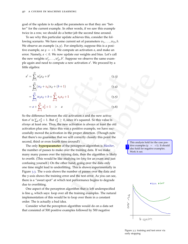goal of the update is to adjust the parameters so that they are "better" for the current example. In other words, if we saw this example twice in a row, we should do a better job the second time around.

To see why this particular update achieves this, consider the following scenario. We have some current set of parameters  $w_1, \ldots, w_D, b$ . We observe an example  $(x, y)$ . For simplicity, suppose this is a positive example, so  $y = +1$ . We compute an activation  $a$ , and make an error. Namely,  $a < 0$ . We now update our weights and bias. Let's call the new weights  $w'_1, \ldots, w'_D, b'$ . Suppose we observe the same example again and need to compute a new activation a'. We proceed by a little algebra:

$$
a' = \sum_{d=1}^{D} w'_d x_d + b'
$$
\n
$$
= \sum_{d=1}^{D} (w_d + x_d) x_d + (b+1)
$$
\n
$$
= \sum_{d=1}^{D} w_d x_d + b + \sum_{d=1}^{D} x_d x_d + 1
$$
\n
$$
= a + \sum_{d=1}^{D} x_d^2 + 1 > a
$$
\n(3.6)

So the difference between the old activation *a* and the new activation *a'* is  $\sum_d x_d^2 + 1$ . But  $x_d^2 \ge 0$ , since it's squared. So this value is *always* at least one. Thus, the new activation is always at least the old activation plus one. Since this was a positive example, we have successfully moved the activation in the proper direction. (Though note that there's no guarantee that we will correctly classify this point the second, third or even fourth time around!) This analysis hold for the case pos-

b<br>  $\frac{D}{d-1}$ <br>  $\frac{D}{d-1}$ <br>  $\frac{D}{d-1}$ <br>  $\frac{D}{d-1}$ <br>  $\frac{D}{d-1}$ <br>  $\frac{D}{d-1}$ <br>  $\frac{D}{d-1}$ <br>  $\frac{D}{d-1}$ <br>  $\frac{D}{d-1}$ <br>  $\frac{D}{d-1}$ <br>  $\frac{D}{d-1}$ <br>  $\frac{D}{d-1}$ <br>  $\frac{D}{d-1}$ <br>  $\frac{D}{d-1}$ <br>  $\frac{D}{d-1}$ <br>  $\frac{D}{d-1}$ <br>  $\frac{D}{d-1}$ The only **hyperparam eter** of the perceptron algorithm is *MaxIter* , the number of passes to make over the training data. If we make many many passes over the training data, then the algorithm is likely to overfit. (This would be like studying *too long* for an exam and just confusing yourself.) On the other hand, going over the data only one time might lead to underfitting. This is shown experimentally in Figure [3](#page-5-0) . 3. The x-axis shows the number of passes over the data and the y-axis shows the training error and the test error. As you can see, there is a "sweet spot" at which test performance begins to degrade due to overfitting.

One aspect of the perceptron algorithm that is left underspecified is line 4, which says: loop over all the training examples. The natural implementation of this would be to loop over them in a constant order. The is actually a bad idea.

Consider what the perceptron algorithm would do on a data set that consisted of 500 positive examples followed by 500 negative

itive examples  $(y = +1)$ . It should also hold for negative examples. Work it out. ?

<span id="page-5-0"></span>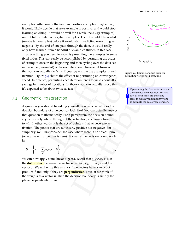examples. After seeing the first few positive examples (maybe five), it would likely decide that *every* example is positive, and would stop learning anything. It would do well for a while (next 495 examples), until it hit the batch of negative examples. Then it would take a while (maybe ten examples) before it would start predicting everything as negative. By the end of one pass through the data, it would really only have learned from a handful of examples (fifteen in this case).

So one thing you need to avoid is presenting the examples in some fixed order. This can easily be accomplished by permuting the order of examples once in the beginning and then cycling over the data set in the same (permuted) order each iteration. However, it turns out that you can actually do *better* if you re-permute the examples in each iteration. Figure 3.4 shows the effect of re-permuting on convergence speed. In practice, permuting each iteration tends to yield about 20% savings in number of iterations. In theory, you can actually prove that it's expected to be about twice as fast.

#### 3.3 Geometric Intrepretation

14 shows the effect of re-permuting on convergence<br>
permuting scenarios permuting consisted permuting consisted permuting<br>
permuting scenarios to the permuting the data seah iteration<br>
r of iterations. In theory you can a A question you should be asking yourself by now is: what does the decision boundary of a perceptron look like? You can actually answer that question mathematically. For a perceptron, the decision boundary is precisely where the sign of the activation, *a*, changes from −1 to  $+1$ . In other words, it is the set of points *x* that achieve *zero* activation. The points that are not clearly positive nor negative. For simplicity, we'll first consider the case where there is no "bias" term (or, equivalently, the bias is zero). Formally, the decision boundary  $\beta$ is:

$$
\mathcal{B} = \left\{ x : \sum_{d} w_d x_d = 0 \right\} \tag{3.7}
$$

We can now apply some linear algebra. Recall that ∑*<sup>d</sup> wdx<sup>d</sup>* is just the **dot product** between the vector  $w = \langle w_1, w_2, \dots, w_D \rangle$  and the vector *x*. We will write this as  $w \cdot x$ . Two vectors have a zero dot product if and only if they are **perpendicular**. Thus, if we think of the weights as a vector  $w$ , then the decision boundary is simply the plane perpendicular to *w*.



<span id="page-6-0"></span>Figure 3.4: training and test error for permuting versus not-permuting

saves somewhere between 20% and 50% of your time, are there any cases in which you might *not* want to permute the data every iteration? ?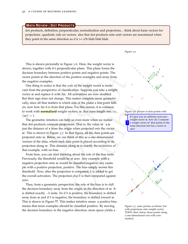dot products, definition, perpendicular, normalization and projections... think about basis vectors for projections. quadratic rule on vectors. also that dot products onto unit vectors are maximized when **MATH REVIEW | DOT PRODUCTS**<br>dot products, definition, perpendicular, normalization and pr<br>projections. quadratic rule on vectors. also that dot products<br>they point in the same direction so a\*a >= a\*b blah blah blah.

This is shown pictorially in Figure [3](#page-7-0) . 6. Here, the weight vector is shown, together with it's perpendicular plane. This plane forms the decision boundary between positive points and negative points. The vector points in the direction of the positive examples and away from the negative examples.

between two many into the pair of the positive camples and away from<br>
the direction of the positive examples and away from<br>
bestice is that the scale of the weight vector is irrele-<br>
sepective of classification. Suppose y  $h_y$  If I give you an arbitrary non-zero One thing to notice is that the *scale* of the weight vector is irrelevant from the perspective of classification. Suppose you take a weight vector *w* and replace it with 2 *w*. All activations are now doubled. But their sign does not change. This makes complete sense geometrically, since all that matters is which side of the plane a test point falls on, now how far it is from that plane. For this reason, it is common to work with **normalized** weight vectors, *w*, that have length one; i.e.,  $||w||$ 

The geometric intuition can help us even more when we realize that dot products compute projections. That is, the value  $w \cdot x$  is just the distance of *x* from the origin when projected *onto* the vector w. This is shown in Figure 3.7. In that figure, all the data points are projected onto *w*. Below, we can think of this as a one-dimensional version of the data, where each data point is placed according to its projection along *w*. This distance along *w* is exactly the *activiation* of that example, with no bias.

From here, you can start thinking about the role of the bias term. Previously, the threshold would be at zero. Any example with a negative projection onto *w* would be classified negative; any example with a positive projection, positive. The bias simply moves this threshold. Now, after the projection is computed, *b* is added to get the overall activation. The projection *plus b* is then compared against zero.

Thus, from a geometric perspective, the role of the bias is to *shift* the decision boundary away from the origin, in the direction of *w*. It is shifted exactly  $-b$  units. So if  $b$  is positive, the boundary is shifted away from *w* and if *b* is negative, the boundary is shifted toward *w* . This is shown in Figure **??**. This makes intuitive sense: a positive bias means that more examples should be classified positive. By moving the decision boundary in the negative direction, more space yields a

Figure 3.5:



Figure 3 . 6: picture of data points with

<span id="page-7-0"></span>weight vector *w*, how do I compute a weight vector  $w'$  that points in the same direction but has a norm of one? ?



<span id="page-7-1"></span>Figure 3 . 7: same picture as before, but with projections onto weight vector: TODO: then, below, those points along a one-dimensional axis with zero marked.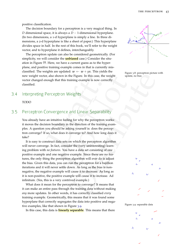positive classification.

The decision boundary for a perceptron is a very magical thing. In *D* dimensional space, it is always a *D* − 1-dimensional hyperplane. (In two dimensions, a 1-d hyperplane is simply a line. In three dimensions, a 2-d hyperplane is like a sheet of paper.) This hyperplane divides space in half. In the rest of this book, we'll refer to the weight vector, and to hyperplane it defines, interchangeably.

The perceptron update can also be considered geometrically. (For simplicity, we will consider the **unbiased** case.) Consider the situation in Figure **??**. Here, we have a current guess as to the hyperplane, and positive training example comes in that is currently misclassified. The weights are updated:  $w \leftarrow w + \gamma x$ . This yields the new weight vector, also shown in the Figure. In this case, the weight vector changed enough that this training example is now correctly classified.

#### 3.4 Interpreting Perceptron Weights

#### TODO

#### 3.5 Perceptron Convergence and Linear Separability

You already have an intuitive feeling for why the perceptron works: it moves the decision boundary in the direction of the training examples. A question you should be asking yourself is: does the perceptron converge? If so, what does it converge to? And how long does it take?

**Example 19** and the Figure. In this case, the weight<br>
update to show up the properties from the Figure Draft of the transmit of the transmit<br>
comptibute the properties and Linear Separability<br>
an intuitive feeling for wh It is easy to construct data sets on which the perceptron algorithm will never converge. In fact, consider the (very uninteresting) learning problem with *no features*. You have a data set consisting of one positive example and one negative example. Since there are no features, the only thing the perceptron algorithm will ever do is adjust the bias. Given this data, you can run the perceptron for a bajillion iterations and it will never settle down. As long as the bias is nonnegative, the negative example will cause it to decrease. As long as it is non-positive, the positive example will cause it to increase. Ad infinitum. (Yes, this is a very contrived example.)

What does it mean for the perceptron to converge? It means that it can make an entire pass through the training data without making *any* more updates. In other words, it has correctly classified *every* training example. Geometrically, this means that it was found some hyperplane that correctly segregates the data into positive and negative examples, like that shown in Figure [3](#page-8-0).9.

In this case, this data is **linearly separable**. This means that there



Figure 3.8: perceptron picture with update, no bias





<span id="page-8-1"></span><span id="page-8-0"></span>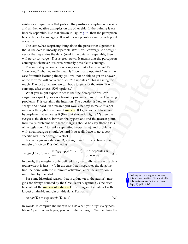exists *some* hyperplane that puts all the positive examples on one side and all the negative examples on the other side. If the training is *not* linearly separable, like that shown in Figure 3 .[10](#page-8-1), then the perceptron has no hope of converging. It could never possibly classify each point correctly.

The somewhat surprising thing about the perceptron algorithm is that *if* the data is linearly separable, *then* it will converge to a weight vector that separates the data. (And if the data is inseparable, then it will never converge.) This is great news. It means that the perceptron converges whenever it is even remotely possible to converge.

The second question is: how long does it take to converge? By "how long," what we really mean is "how many updates?" As is the case for much learning theory, you will not be able to get an answer of the form "it will converge after 5293 updates." This is asking too much. The sort of answer we can hope to get is of the form "it will converge after *at most* 5293 updates."

ming theory, you will not be able to get an answer<br>
dl converge after 5293 updates."<br>
This is aking too<br>
answer we can hope to get is of the form "it will<br>
most 5293 updates."<br>
in a meaningful way. One way to make this de What you might expect to see is that the perceptron will converge more quickly for easy learning problems than for hard learning problems. This certainly fits intuition. The question is how to *define* "easy" and "hard" in a meaningful way. One way to make this definition is through the notion of **margin**. If I give you a data set and hyperplane that separates it (like that shown in Figure **??**) then the *margin* is the distance between the hyperplane and the nearest point. Intuitively, problems with large margins should be easy (there's lots of "wiggle room" to find a separating hyperplane); and problems with small margins should be hard (you really have to get a very specific well tuned weight vector).

Formally, given a data set **D**, a weight vector *w* and bias *b*, the margin of *w* , *b* on **D** is defined as:

<span id="page-9-0"></span>
$$
margin(\mathbf{D}, \mathbf{w}, b) = \begin{cases} \min_{(x,y)\in\mathbf{D}} y(\mathbf{w}\cdot\mathbf{x} + b) & \text{if } \mathbf{w} \text{ separates } \mathbf{D} \\ -\infty & \text{otherwise} \end{cases}
$$
(3.8)

In words, the margin is only defined if *w* , *b* actually separate the data (otherwise it is just − ∞). In the case that it separates the data, we find the point with the minimum activation, after the activation is multiplied by the label.

For some historical reason (that is unknown to the author), margins are always denoted by the Greek letter *γ* (gamma). One often talks about the **margin of a data set**. The margin of a data set is the largest attainable margin on this data. Formally:

$$
margin(\mathbf{D}) = \sup_{w,b} margin(\mathbf{D}, w, b)
$$
\n(3.9)

In words, to compute the margin of a data set, you "try" every possible *w*, *b* pair. For each pair, you compute its margin. We then take the

 $-\infty$ , it is always positive. Geometrically this makes sense, but what does Eq (3.8) yeild this?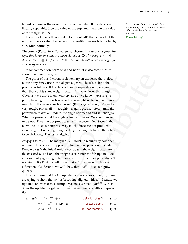largest of these as the overall margin of the data.<sup>1</sup> If the data is not linearly separable, then the value of the sup, and therefore the value of the margin, is  $-\infty$ .

There is a famous theorem due to Rosenblatt 2 that shows that the number of errors that the perceptron algorithm makes is bounded by *γ*−<sup>2</sup> . More formally:

<span id="page-10-0"></span>**Theorem 1** (Perceptron Convergence Theorem) **.** *Suppose the perceptron algorithm is run on a linearly separable data set* **D** *with margin γ* > 0 *.* Assume that  $||x|| \leq 1$  for all  $x \in \mathbf{D}$ . Then the algorithm will converge after *at most* 1*<sup>γ</sup>*<sup>2</sup> *updates.*

todo: comment on norm of w and norm of x also some picture about maximum margins.

angriss.<br>
It is theorem is elementary, in the sense that it does<br>
tricks: it's all just algebra. The *idea* behind the<br>
tricks: it's all just algebra. The *idea* behind the<br>  $\gamma$ , if the data is linearly separable with ma The proof of this theorem is elementary, in the sense that it does not use any fancy tricks: it's all just algebra. The *idea* behind the proof is as follows. If the data is linearly separable with margin *γ* , then there exists some weight vector  $w^*$  that achieves this margin. Obviously we don't know what  $w^*$  is, but we know it exists. The perceptron algorithm is trying to find a weight vector *w* that points roughly in the same direction as *w* ∗ . (For large *γ*, "roughly" can be very rough. For small *γ*, "roughly" is quite precise.) Every time the perceptron makes an update, the angle between w and w<sup>\*</sup> changes. What we prove is that the angle actually *decreases.* We show this in two steps. First, the dot product  $w \cdot w^*$  increases a lot. Second, the norm || *w*|| does not increase very much. Since the dot product is increasing, but *w* isn't getting too long, the angle between them has to be shrinking. The rest is algebra.

*Proof of Theorem [1](#page-10-0).* The margin  $\gamma > 0$  must be realized by some set of parameters, say  $x^*$ . Suppose we train a perceptron on this data. Denote by  $w^{(0)}$  the initial weight vector,  $w^{(1)}$  the weight vector after the *first update,* and  $w^{(k)}$  the weight vector after the *k*th update. (We are essentially ignoring data points on which the perceptron doesn't update itself.) First, we will show that  $w^* \cdot w^{(k)}$  grows quicky as a function of *k*. Second, we will show that  $||w^{(k)}||$  does not grow quickly.

First, suppose that the *k*th update happens on example ( *x* , *y* ). We are trying to show that  $w^{(k)}$  is becoming aligned with  $w^*$ . Because we updated, know that this example was misclassified:  $yw^{(k-1)} \cdot x < 0$ . After the update, we get  $w^{(k)} = w^{(k-1)} + yx$ . We do a little computation:

| $\boldsymbol{w}^{*}\cdot\boldsymbol{w}^{(\mathsf{k})}=\boldsymbol{w}^{*}\cdot\boldsymbol{w}^{(\mathsf{k}\text{-}1)}+\gamma\boldsymbol{x}$ | definition of $w^{(k)}$                                                                                         | (3.10) |
|-------------------------------------------------------------------------------------------------------------------------------------------|-----------------------------------------------------------------------------------------------------------------|--------|
| $\boldsymbol{v} = \boldsymbol{w}^* \cdot \boldsymbol{w}^{(k-1)} + \boldsymbol{w} \boldsymbol{w}^* \cdot \boldsymbol{x}$                   | vector algebra $(3.11)$                                                                                         |        |
|                                                                                                                                           | state and the contract of the contract of the contract of the contract of the contract of the contract of the c |        |

 $\geq w^*\cdot w^{(\mathsf{k-1})} + \gamma$ *w* ∗ has margin *γ*  $(3.12)$ 

<sup>1</sup> You can read "sup" as "max" if you like: the only difference is a technical difference in how the − ∞ case is handled.

<sup>2</sup> [Rosenblatt](#page--1-1) [1958](#page--1-1)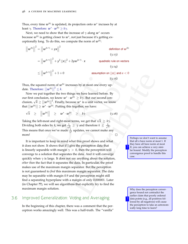$\overline{\phantom{a}}$  $\overline{\phantom{a}}$  $\vert$ 

Thus, every time  $w^{(k)}$  is updated, its projection onto  $w^*$  incrases by at least  $γ$ . Therefore:  $w^* \cdot w^{(k)} \geq kγ$ .

Next, we need to show that the increase of  $\gamma$  along  $w^*$  occurs because *w*(k) is getting closer to *w*<sup>∗</sup> , not just because it's getting exceptionally long. To do this, we compute the norm of  $w^{(k)}$ :

$$
\left| \boldsymbol{w}^{(k)} \right|^{2} = \left| \left| \boldsymbol{w}^{(k-1)} + y \boldsymbol{x} \right| \right|^{2}
$$
\n
$$
= \left| \left| \boldsymbol{w}^{(k-1)} \right| \right|^{2} + y^{2} \left| \left| \boldsymbol{x} \right| \right|^{2} + 2y \boldsymbol{w}^{(k-1)} \cdot \boldsymbol{x}
$$
\n
$$
\leq \left| \left| \boldsymbol{w}^{(k-1)} \right| \right|^{2} + 1 + 0
$$
\n
$$
\leq \left| \left| \boldsymbol{w}^{(k-1)} \right| \right|^{2} + 1 + 0
$$
\n
$$
(3.14)
$$
\n
$$
(3.15)
$$

Thus, the squared norm of  $w^{(k)}$  increases by at most one every update. Therefore:  $||w^{(k)}||^2 \leq k$ .

Now we put together the two things we have learned before. By our first conclusion, we know *w*<sup>∗</sup> · *w*(k) ≥ *kγ*. But our second conclusion,  $\sqrt{k} \geq ||w^{(k)}||$ <sup>2</sup>. Finally, because  $w^*$  is a unit vector, we know that  $||w^{(k)}|| \geq w^* \cdot w^{(k)}$ . Putting this together, we have:

$$
\sqrt{k} \geq ||w^{(k)}|| \geq w^* \cdot w^{(k)} \geq k\gamma
$$
 (3.16)

Taking the left-most and right-most terms, we get that  $\sqrt{k} \, \geq \, k \gamma.$ Dividing both sides by *k*, we get  $\frac{1}{\sqrt{2}}$  $\frac{1}{k}$   $\geq$  *γ* and therefore  $k$   $\leq$   $\frac{1}{\sqrt{2}}$ *γ* . This means that once we've made  $\frac{1}{\gamma^2}$  updates, we cannot make any more!

The transition of  $w^{[8]}$  increases by at most one every up-<br>  $|w^{[8]}| \stackrel{?}{\leq} E$ .<br>
norm of  $w^{[8]}$  increases by at most one every up-<br>  $|w^{[8]}| \stackrel{?}{\leq} E$ .<br>
not be those we have learned before. By<br>
not be the two wit It is important to keep in mind what this proof shows and what it does not show. It shows that if I give the perceptron data that is linearly separable with margin  $\gamma > 0$ , then the perceptron will converge to a solution that separates the data. And it will converge quickly when  $\gamma$  is large. It does not say anything about the solution, *other than* the fact that it separates the data. In particular, the proof makes use of the maximum margin separator. But the perceptron is not guaranteed to *find* this maximum margin separator. The data may be separable with margin 0.9 and the perceptron might still find a separating hyperplane with a margin of only 0.000001. Later (in Chapter **??**), we will see algorithms that explicitly try to find the maximum margin solution. Why does the perceptron conver-

#### 3.6 Improved Generalization: Voting and Averaging

In the beginning of this chapter, there was a comment that the perceptron works amazingly well. This was a half-truth. The "vanilla"

Perhaps we don't want to assume that all *x* have norm at most 1. If they have all have norm at most *R*, you can achieve a very similar bound. Modify the perceptron convergence proof to handle this case.

?

gence bound not contradict the earlier claim that poorly ordered data points (e.g., all positives followed by all negatives) will cause the perceptron to take an astronomically long time to learn? ?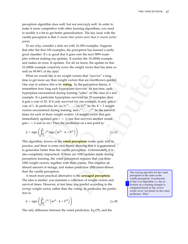perceptron algorithm does well, but not *amazingly* well. In order to make it more competitive with other learning algorithms, you need to modify it a bit to get better generalization. The key issue with the vanilla perceptron is that *it counts later points more than it counts earlier points* .

To see why, consider a data set with 10, 000 examples. Suppose that after the first 100 examples, the perceptron has learned a really good classifier. It's so good that it goes over the next 9899 examples without making *any* updates. It reaches the 10, 000th example and makes an error. It updates. For all we know, the update on this 10, 000th example *completely ruines* the weight vector that has done so well on 99.99% of the data!

d like is for weight vectors that "survive" a long<br>
any than weight vectors that are cover thrown quickly.<br>
See this is by **voting**. As the perceptron learns, it<br>
ong each hyperplane survived for 20 example, it can<br>
inter What we would like is for weight vectors that "survive" a long time to get more say than weight vectors that are overthrown quickly. One way to achieve this is by **voting**. As the perceptron learns, it remembers how long each hyperplane survives. At test time, each hyperplane encountered during training "votes" on the class of a test example. If a particular hyperplane survived for 20 examples, then it gets a vote of 20. If it only survived for one example, it only gets a vote of 1. In particular, let  $(w, b)^{(1)}, \ldots, (w, b)^{(K)}$  be the  $K+1$  weight vectors encountered during training, and  $c^{(1)}$ , ...,  $c^{(K)}$  be the survival times for each of these weight vectors. (A weight vector that gets immediately updated gets  $c = 1$ ; one that survives another round gets  $c = 2$  and so on.) Then the prediction on a test point is:

$$
\hat{y} = \text{sign}\left(\sum_{k=1}^{K} c^{(k)} \text{sign}\left(w^{(k)} \cdot \hat{x} + b^{(k)}\right)\right) \tag{3.17}
$$

This algorithm, known as the **voted perceptron** works quite well in practice, and there is some nice theory showing that it is guaranteed to generalize better than the vanilla perceptron. Unfortunately, it is also completely impractical. If there are 1000 updates made during perceptron learning, the voted perceptron requires that you store 1000 weight vectors, together with their counts. This requires an absurd amount of storage, and makes prediction 1000 times slower than the vanilla perceptron. The *training algorithm* for the voted

A much more practical alternative is the **averaged perceptron** . The idea is similar: you maintain a collection of weight vectors and survival times. However, at test time, you predict according to the *average* weight vector, rather than the voting. In particular, the prediction is:

<span id="page-12-0"></span>
$$
\hat{y} = \text{sign}\left(\sum_{k=1}^{K} c^{(k)} \left(w^{(k)} \cdot \hat{x} + b^{(k)}\right)\right) \tag{3.18}
$$

The only difference between the voted prediction, Eq (**??**), and the

perceptron is the same as the vanilla perceptron. In particular, in line 5 of Algorithm 3 . 2, the activation on a training example is computed based on the *current weight vector*, not based on the voted prediction. Why?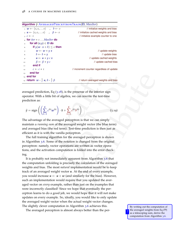| $\mathbf{r}$ as $\mathbf{v}$ and $\mathbf{r}$ are the subset of $\mathbf{r}$ and $\mathbf{r}$ and $\mathbf{r}$ are $\mathbf{r}$ and $\mathbf{r}$ |                                           |
|--------------------------------------------------------------------------------------------------------------------------------------------------|-------------------------------------------|
| $w \leftarrow \langle 0, 0, \ldots 0 \rangle$ , $b \leftarrow 0$                                                                                 | // initialize weights and bias            |
| $\alpha: \mathbf{u} \leftarrow \langle 0, 0, \ldots 0 \rangle$ , $\beta \leftarrow 0$                                                            | // initialize cached weights and bias     |
| $\alpha : \mathcal{C} \leftarrow 1$                                                                                                              | // initialize example counter to one      |
| <b>for</b> iter = $\tau$ MaxIter <b>do</b>                                                                                                       |                                           |
| for all $(x,y) \in D$ do<br>$\overline{\mathbf{q}}$ :                                                                                            |                                           |
| if $y(w \cdot x + b) \leq o$ then<br>6:                                                                                                          |                                           |
| $w \leftarrow w + y x$<br>7:                                                                                                                     | // update weights                         |
| $b \leftarrow b + y$<br>8:                                                                                                                       | // update bias                            |
| $u \leftarrow u + y c x$<br>9:                                                                                                                   | // update cached weights                  |
| $\beta \leftarrow \beta + \gamma c$<br>10.                                                                                                       | // update cached bias                     |
| end if<br>11:                                                                                                                                    |                                           |
| $c \leftarrow c + 1$<br>12.7                                                                                                                     | // increment counter regardless of update |
| end for<br>13:                                                                                                                                   |                                           |
| $_{14}$ : end for                                                                                                                                |                                           |
| 15: <b>return</b> $w - \frac{1}{c} u$ , $b - \frac{1}{c} \beta$                                                                                  | // return averaged weights and bias       |
|                                                                                                                                                  |                                           |

**Algorithm 7** Averaged Perceptron Train ( **D** , *MaxIter* )

averaged prediction, Eq ( 3 .18), is the presense of the interior sign operator. With a little bit of algebra, we can rewrite the test-time prediction as:

<span id="page-13-0"></span>
$$
\hat{y} = \text{sign}\left( \left( \sum_{k=1}^{K} c^{(k)} w^{(k)} \right) \cdot \hat{x} + \sum_{k=1}^{K} c^{(k)} b^{(k)} \right) \tag{3.19}
$$

The advantage of the averaged perceptron is that we can simply maintain a *running sum* of the averaged weight vector (the blue term) and averaged bias (the red term). Test-time prediction is then just as efficient as it is with the vanilla perceptron.

The full training algorithm for the averaged perceptron is shown in Algorithm [3](#page-13-0) . 6. Some of the notation is changed from the original perceptron: namely, vector operations are written as vector operations, and the activation computation is folded into the error checking.

 $b = \frac{1}{c} \beta$  <br>  $\beta$  ...  $\frac{1}{c} \beta$  ...  $\frac{1}{c} \beta$  ...  $\frac{1}{c} \beta$  ...  $\frac{1}{c} \beta$  ...  $\frac{1}{c} \beta$  ...  $\frac{1}{c} \beta$  ...  $\frac{1}{c} \beta$  ...  $\frac{1}{c} \beta$  ...  $\frac{1}{c} \beta$  ...  $\frac{1}{c} \beta$  ...  $\frac{1}{c} \beta$  ...  $\frac{1}{c} \beta$  ...  $\frac{$ It is probably not immediately apparent from Algorithm 3.6 that the computation unfolding is precisely the calculation of the averaged weights and bias. The most *natural* implementation would be to keep track of an averaged weight vector *u*. At the end of every example, you would increase  $u \leftarrow u + w$  (and similarly for the bias). However, such an implementation would require that you updated the averaged vector on *every* example, rather than just on the examples that were incorrectly classified! Since we hope that eventually the perceptron learns to do a good job, we would hope that it will not make updates on every example. So, ideally, you would like to only update the averaged weight vector when the actual weight vector changes. The slightly clever computation in Algorithm [3](#page-13-0) .

The averaged perceptron is almost always better than the per-

<span id="page-13-1"></span>By writing out the computation of the averaged weights from Eq (**??** ) as a telescoping sum, derive the computation from Algorithm [3](#page-13-0).6.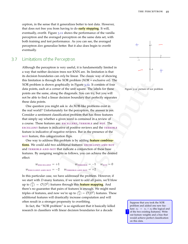ceptron, in the sense that it generalizes better to test data. However, that does not free you from having to do **early stopping**. It will, eventually, overfit. Figure 3.[11](#page-13-1) shows the performance of the vanilla perceptron and the averaged perceptron on the same data set, with both training and test performance. As you can see, the averaged perceptron *does* generalize better. But it also does begin to overfit eventually.

#### 3.7 Limitations of the Perceptron

Although the perceptron is very useful, it is fundamentally limited in a way that neither decision trees nor KNN are. Its limitation is that its decision boundaries can *only* be linear. The classic way of showing this limitation is through the XOR problem (XOR = exclusive or). The XOR problem is shown graphically in Figure 3.12. It consists of four data points, each at a corner of the unit square. The labels for these points are the same, along the diagonals. You can try, but you will not be able to find a linear decision boundary that perfectly separates these data points.

taries can only be linear. The classic way of showing<br>hrown graphically in Egure 3.12. It consists of four<br>hown graphically in Figure 3.12. It consists of four<br>at a corner of the unit square. The labels for these<br>parallel One question you might ask is: do XOR-like problems exist in the real world? Unfortunately for the perceptron, the answer is yes. Consider a sentiment classification problem that has three features that simply say whether a given word is contained in a review of a course. These features are: excellent, terrible and not. The excellent feature is indicative of positive reviews and the terrible feature is indicative of negative reviews. But in the presence of the not feature, this categorization flips.

One way to address this problem is by adding **feature combinations**. We could add two additional features: EXCELLENT-AND-NOT and TERRIBLE-AND-NOT that indicate a conjunction of these base features. By assigning weights as follows, you can achieve the desired effect:

 $w_{\text{EXECELLENT}} = +1$   $w_{\text{TERRIBLE}} = -1$   $w_{\text{NOT}} = 0$  $w_{\text{EXECLENT-AND-NOT}} = -2$   $w_{\text{TERRIBLE-AND-NOT}} = +2$ 

In this particular case, we have addressed the problem. However, if we start with *D*-many features, if we want to add all pairs, we'll blow up to  $\binom{D}{2} = \mathcal{O}(D^2)$  features through this <mark>feature mapping</mark>. And there's no guarantee that pairs of features is enough. We might need triples of features, and now we're up to  $\binom{D}{3} = \mathcal{O}(D^2)$  features. These additional features will drastically increase computation and will often result in a stronger propensity to overfitting.  $\sqrt{\frac{S_{\text{uppose that you took the XOR}}}{S_{\text{uppose that you took the XOR}}}$ 

In fact, the "XOR problem" is so significant that it basically killed research in classifiers with linear decision boundaries for a decade



<span id="page-14-0"></span>

problem and added one new feature:  $x_3 = x_1 \wedge x_2$  (the logical and of the two existing features). Write out feature weights and a bias that would achieve perfect classification on this data.